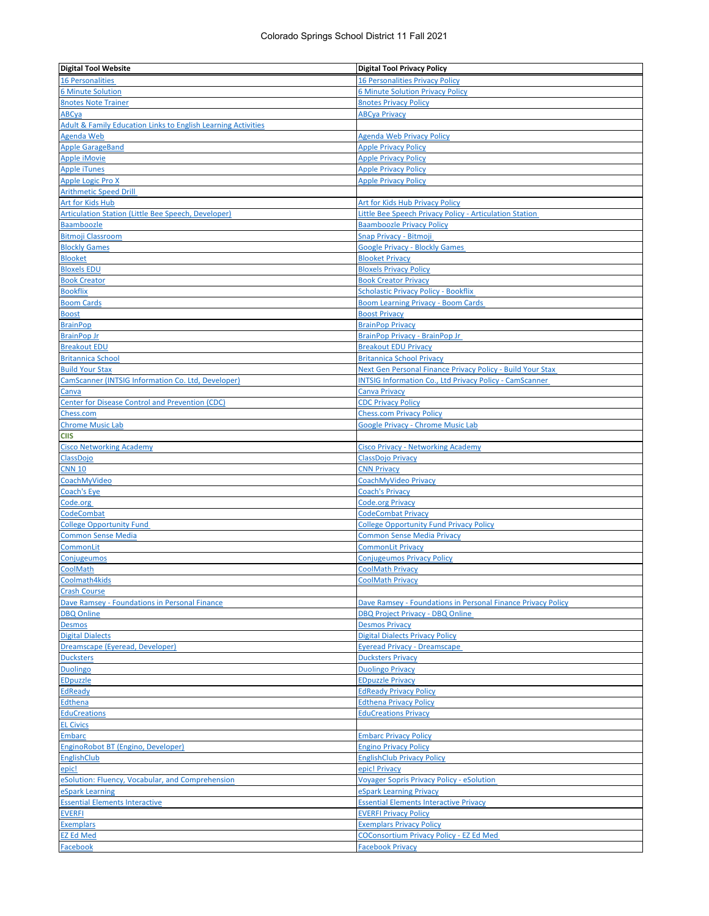| <b>Digital Tool Website</b>                                              | <b>Digital Tool Privacy Policy</b>                             |
|--------------------------------------------------------------------------|----------------------------------------------------------------|
| <b>16 Personalities</b>                                                  | <b>16 Personalities Privacy Policy</b>                         |
| <b>6 Minute Solution</b>                                                 | <b>6 Minute Solution Privacy Policy</b>                        |
| <b>8notes Note Trainer</b>                                               | <b>8notes Privacy Policy</b>                                   |
| ABCya                                                                    | <b>ABCya Privacy</b>                                           |
| <b>Adult &amp; Family Education Links to English Learning Activities</b> |                                                                |
| Agenda Web                                                               | <b>Agenda Web Privacy Policy</b>                               |
| <b>Apple GarageBand</b>                                                  | <b>Apple Privacy Policy</b>                                    |
| <b>Apple iMovie</b>                                                      | <b>Apple Privacy Policy</b>                                    |
| <b>Apple iTunes</b>                                                      | <b>Apple Privacy Policy</b>                                    |
| Apple Logic Pro X                                                        | <b>Apple Privacy Policy</b>                                    |
| <b>Arithmetic Speed Drill</b>                                            |                                                                |
| Art for Kids Hub                                                         | Art for Kids Hub Privacy Policy                                |
| <b>Articulation Station (Little Bee Speech, Developer)</b>               | Little Bee Speech Privacy Policy - Articulation Station        |
| <b>Baamboozle</b><br><b>Bitmoji Classroom</b>                            | <b>Baamboozle Privacy Policy</b><br>Snap Privacy - Bitmoji     |
| <b>Blockly Games</b>                                                     | <b>Google Privacy - Blockly Games</b>                          |
| <b>Blooket</b>                                                           | <b>Blooket Privacy</b>                                         |
| <b>Bloxels EDU</b>                                                       | <b>Bloxels Privacy Policy</b>                                  |
| <b>Book Creator</b>                                                      | <b>Book Creator Privacy</b>                                    |
| <b>Bookflix</b>                                                          | <b>Scholastic Privacy Policy - Bookflix</b>                    |
| <b>Boom Cards</b>                                                        | <b>Boom Learning Privacy - Boom Cards</b>                      |
| Boost                                                                    | <b>Boost Privacy</b>                                           |
| <b>BrainPop</b>                                                          | <b>BrainPop Privacy</b>                                        |
| <b>BrainPop Jr</b>                                                       | BrainPop Privacy - BrainPop Jr                                 |
| <b>Breakout EDU</b>                                                      | <b>Breakout EDU Privacy</b>                                    |
| <b>Britannica School</b>                                                 | <b>Britannica School Privacy</b>                               |
| <b>Build Your Stax</b>                                                   | Next Gen Personal Finance Privacy Policy - Build Your Stax     |
| CamScanner (INTSIG Information Co. Ltd, Developer)                       | <b>INTSIG Information Co., Ltd Privacy Policy - CamScanner</b> |
| Canva                                                                    | <b>Canva Privacy</b>                                           |
| Center for Disease Control and Prevention (CDC)                          | <b>CDC Privacy Policy</b>                                      |
| Chess.com                                                                | <b>Chess.com Privacy Policy</b>                                |
| <b>Chrome Music Lab</b>                                                  | <b>Google Privacy - Chrome Music Lab</b>                       |
| CIIS                                                                     |                                                                |
| <b>Cisco Networking Academy</b>                                          | <b>Cisco Privacy - Networking Academy</b>                      |
| <b>ClassDojo</b>                                                         | ClassDojo Privacy                                              |
| <b>CNN 10</b><br>CoachMyVideo                                            | <b>CNN Privacy</b><br>CoachMyVideo Privacy                     |
| Coach's Eye                                                              | <b>Coach's Privacy</b>                                         |
| Code.org                                                                 | <b>Code.org Privacy</b>                                        |
| CodeCombat                                                               | <b>CodeCombat Privacy</b>                                      |
| <b>College Opportunity Fund</b>                                          | <b>College Opportunity Fund Privacy Policy</b>                 |
| <b>Common Sense Media</b>                                                | <b>Common Sense Media Privacy</b>                              |
| <b>CommonLit</b>                                                         | <b>CommonLit Privacy</b>                                       |
| <b>Conjugeumos</b>                                                       | <b>Conjugeumos Privacy Policy</b>                              |
| CoolMath                                                                 | <b>CoolMath Privacy</b>                                        |
| Coolmath4kids                                                            | <b>CoolMath Privacy</b>                                        |
| <b>Crash Course</b>                                                      |                                                                |
| Dave Ramsey - Foundations in Personal Finance                            | Dave Ramsey - Foundations in Personal Finance Privacy Policy   |
| <b>DBQ Online</b>                                                        | <b>DBQ Project Privacy - DBQ Online</b>                        |
| <b>Desmos</b>                                                            | <b>Desmos Privacy</b>                                          |
| <b>Digital Dialects</b>                                                  | <b>Digital Dialects Privacy Policy</b>                         |
| Dreamscape (Eyeread, Developer)                                          | <b>Eyeread Privacy - Dreamscape</b>                            |
| <b>Ducksters</b>                                                         | <b>Ducksters Privacy</b>                                       |
| Duolingo                                                                 | <b>Duolingo Privacy</b>                                        |
| <b>EDpuzzle</b>                                                          | <b>EDpuzzle Privacy</b>                                        |
| EdReady                                                                  | <b>EdReady Privacy Policy</b>                                  |
| <b>Edthena</b>                                                           | <b>Edthena Privacy Policy</b>                                  |
| <b>EduCreations</b>                                                      | <b>EduCreations Privacy</b>                                    |
| <b>EL Civics</b>                                                         | <b>Embarc Privacy Policy</b>                                   |
| <b>Embarc</b><br>EnginoRobot BT (Engino, Developer)                      | <b>Engino Privacy Policy</b>                                   |
| <b>EnglishClub</b>                                                       | <b>EnglishClub Privacy Policy</b>                              |
| <u>epic!</u>                                                             | epic! Privacy                                                  |
| eSolution: Fluency, Vocabular, and Comprehension                         | <b>Voyager Sopris Privacy Policy - eSolution</b>               |
| eSpark Learning                                                          | eSpark Learning Privacy                                        |
| <b>Essential Elements Interactive</b>                                    | <b>Essential Elements Interactive Privacy</b>                  |
| <b>EVERFI</b>                                                            | <b>EVERFI Privacy Policy</b>                                   |
| <b>Exemplars</b>                                                         | <b>Exemplars Privacy Policy</b>                                |
| <b>EZ Ed Med</b>                                                         | <b>COConsortium Privacy Policy - EZ Ed Med</b>                 |
| Facebook                                                                 | <b>Facebook Privacy</b>                                        |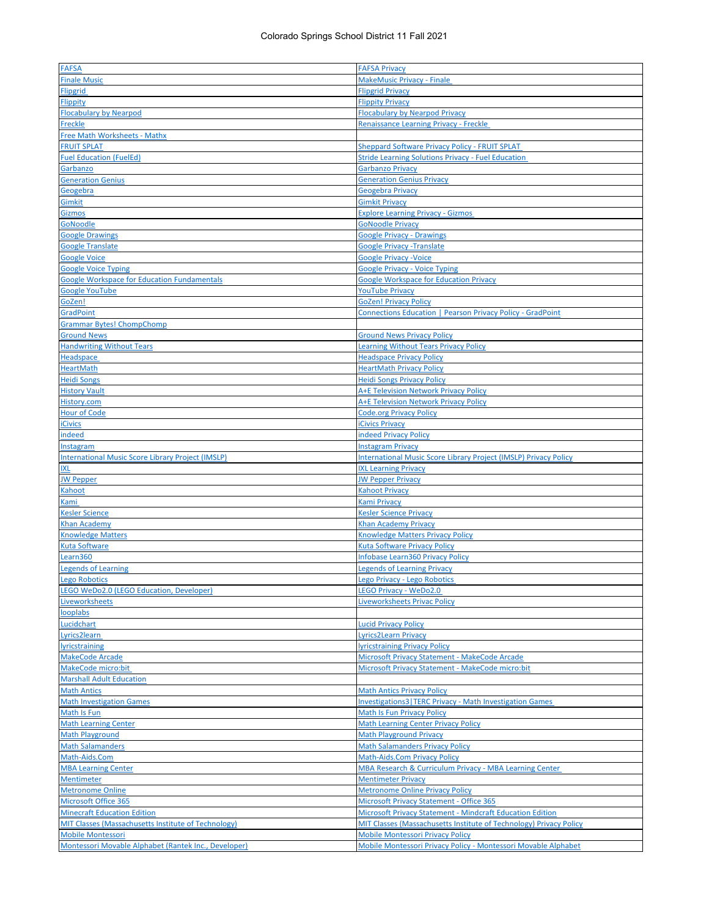| <b>FAFSA</b>                                             | <b>FAFSA Privacy</b>                                               |
|----------------------------------------------------------|--------------------------------------------------------------------|
| <b>Finale Music</b>                                      | MakeMusic Privacy - Finale                                         |
|                                                          |                                                                    |
| <b>Flipgrid</b>                                          | <b>Flipgrid Privacy</b>                                            |
| Flippity                                                 | <b>Flippity Privacy</b>                                            |
| <b>Flocabulary by Nearpod</b>                            | <b>Flocabulary by Nearpod Privacy</b>                              |
| <b>Freckle</b>                                           | <b>Renaissance Learning Privacy - Freckle</b>                      |
| <b>Free Math Worksheets - Mathx</b>                      |                                                                    |
| <b>FRUIT SPLAT</b>                                       | <b>Sheppard Software Privacy Policy - FRUIT SPLAT</b>              |
| <b>Fuel Education (FuelEd)</b>                           | <b>Stride Learning Solutions Privacy - Fuel Education</b>          |
| Garbanzo                                                 | <b>Garbanzo Privacy</b>                                            |
| <b>Generation Genius</b>                                 | <b>Generation Genius Privacy</b>                                   |
| Geogebra                                                 | Geogebra Privacy                                                   |
|                                                          |                                                                    |
| <b>Gimkit</b>                                            | <b>Gimkit Privacy</b>                                              |
| Gizmos                                                   | <b>Explore Learning Privacy - Gizmos</b>                           |
| <b>GoNoodle</b>                                          | <b>GoNoodle Privacy</b>                                            |
| <b>Google Drawings</b>                                   | <b>Google Privacy - Drawings</b>                                   |
| <b>Google Translate</b>                                  | <b>Google Privacy - Translate</b>                                  |
| <b>Google Voice</b>                                      | <b>Google Privacy - Voice</b>                                      |
| <b>Google Voice Typing</b>                               | <b>Google Privacy - Voice Typing</b>                               |
| <b>Google Workspace for Education Fundamentals</b>       | <b>Google Workspace for Education Privacy</b>                      |
|                                                          |                                                                    |
| <b>Google YouTube</b>                                    | <b>YouTube Privacy</b>                                             |
| GoZen!                                                   | GoZen! Privacy Policy                                              |
| <b>GradPoint</b>                                         | Connections Education   Pearson Privacy Policy - GradPoint         |
| <b>Grammar Bytes! ChompChomp</b>                         |                                                                    |
| <b>Ground News</b>                                       | <b>Ground News Privacy Policy</b>                                  |
| <b>Handwriting Without Tears</b>                         | <b>Learning Without Tears Privacy Policy</b>                       |
| <b>Headspace</b>                                         | <b>Headspace Privacy Policy</b>                                    |
| <b>HeartMath</b>                                         | <b>HeartMath Privacy Policy</b>                                    |
| <b>Heidi Songs</b>                                       | <b>Heidi Songs Privacy Policy</b>                                  |
| <b>History Vault</b>                                     | A+E Television Network Privacy Policy                              |
| History.com                                              | A+E Television Network Privacy Policy                              |
|                                                          |                                                                    |
| <b>Hour of Code</b>                                      | <b>Code.org Privacy Policy</b>                                     |
| <b>iCivics</b>                                           | <b>iCivics Privacy</b>                                             |
| indeed                                                   | <b>indeed Privacy Policy</b>                                       |
| Instagram                                                | <b>Instagram Privacy</b>                                           |
| <b>International Music Score Library Project (IMSLP)</b> | International Music Score Library Project (IMSLP) Privacy Policy   |
| ixl                                                      | <b>IXL Learning Privacy</b>                                        |
| <b>JW Pepper</b>                                         | <b>JW Pepper Privacy</b>                                           |
| Kahoot                                                   | <b>Kahoot Privacy</b>                                              |
| Kami                                                     | <b>Kami Privacy</b>                                                |
| <b>Kesler Science</b>                                    | <b>Kesler Science Privacy</b>                                      |
| Khan Academy                                             | <b>Khan Academy Privacy</b>                                        |
| <b>Knowledge Matters</b>                                 | <b>Knowledge Matters Privacy Policy</b>                            |
|                                                          |                                                                    |
| Kuta Software                                            | <b>Kuta Software Privacy Policy</b>                                |
| Learn360                                                 | Infobase Learn360 Privacy Policy                                   |
| <b>Legends of Learning</b>                               | <b>Legends of Learning Privacy</b>                                 |
| Lego Robotics                                            | Lego Privacy - Lego Robotics                                       |
| <b>EGO WeDo2.0 (LEGO Education, Developer)</b>           | <b>LEGO Privacy - WeDo2.0</b>                                      |
| <b>Liveworksheets</b>                                    | Liveworksheets Privac Policy                                       |
| looplabs                                                 |                                                                    |
| Lucidchart                                               | <b>Lucid Privacy Policy</b>                                        |
| Lyrics2learn                                             | <b>Lyrics2Learn Privacy</b>                                        |
| lyricstraining                                           | lyricstraining Privacy Policy                                      |
| <b>MakeCode Arcade</b>                                   | Microsoft Privacy Statement - MakeCode Arcade                      |
| MakeCode micro:bit                                       | Microsoft Privacy Statement - MakeCode micro:bit                   |
|                                                          |                                                                    |
| <b>Marshall Adult Education</b>                          |                                                                    |
| <b>Math Antics</b>                                       | <b>Math Antics Privacy Policy</b>                                  |
| <b>Math Investigation Games</b>                          | Investigations3   TERC Privacy - Math Investigation Games          |
| Math Is Fun                                              | <b>Math Is Fun Privacy Policy</b>                                  |
| <b>Math Learning Center</b>                              | <b>Math Learning Center Privacy Policy</b>                         |
| <b>Math Playground</b>                                   | <b>Math Playground Privacy</b>                                     |
| <b>Math Salamanders</b>                                  | <b>Math Salamanders Privacy Policy</b>                             |
| Math-Aids.Com                                            | <b>Math-Aids.Com Privacy Policy</b>                                |
| <b>MBA Learning Center</b>                               | MBA Research & Curriculum Privacy - MBA Learning Center            |
| <b>Mentimeter</b>                                        | <b>Mentimeter Privacy</b>                                          |
| <b>Metronome Online</b>                                  | <b>Metronome Online Privacy Policy</b>                             |
|                                                          |                                                                    |
| Microsoft Office 365                                     | <b>Microsoft Privacy Statement - Office 365</b>                    |
| <b>Minecraft Education Edition</b>                       | Microsoft Privacy Statement - Mindcraft Education Edition          |
| MIT Classes (Massachusetts Institute of Technology)      | MIT Classes (Massachusetts Institute of Technology) Privacy Policy |
| <b>Mobile Montessori</b>                                 | <b>Mobile Montessori Privacy Policy</b>                            |
| Montessori Movable Alphabet (Rantek Inc., Developer)     | Mobile Montessori Privacy Policy - Montessori Movable Alphabet     |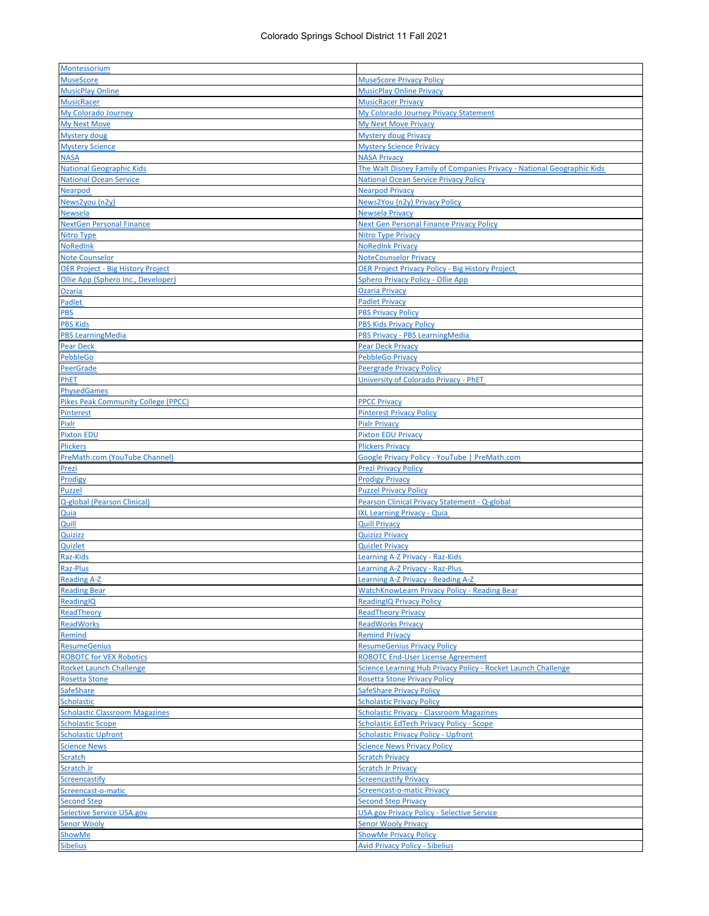| Montessorium                               |                                                                        |
|--------------------------------------------|------------------------------------------------------------------------|
| <b>MuseScore</b>                           |                                                                        |
|                                            | <b>MuseScore Privacy Policy</b>                                        |
| <b>MusicPlay Online</b>                    | <b>MusicPlay Online Privacy</b>                                        |
| <b>MusicRacer</b>                          | <b>MusicRacer Privacy</b>                                              |
| My Colorado Journey                        | My Colorado Journey Privacy Statement                                  |
| <b>My Next Move</b>                        | <b>My Next Move Privacy</b>                                            |
| Mystery doug                               | <b>Mystery doug Privacy</b>                                            |
| <b>Mystery Science</b>                     |                                                                        |
|                                            | <b>Mystery Science Privacy</b>                                         |
| <b>NASA</b>                                | <b>NASA Privacy</b>                                                    |
| <b>National Geographic Kids</b>            | The Walt Disney Family of Companies Privacy - National Geographic Kids |
| <b>National Ocean Service</b>              | <b>National Ocean Service Privacy Policy</b>                           |
| Nearpod                                    | <b>Nearpod Privacy</b>                                                 |
| News2you (n2y)                             | News2You (n2y) Privacy Policy                                          |
|                                            |                                                                        |
| <b>Newsela</b>                             | <b>Newsela Privacy</b>                                                 |
| <b>NextGen Personal Finance</b>            | <b>Next Gen Personal Finance Privacy Policy</b>                        |
| Nitro Type                                 | <b>Nitro Type Privacy</b>                                              |
| <b>NoRedInk</b>                            | <b>NoRedInk Privacy</b>                                                |
| <b>Note Counselor</b>                      | <b>NoteCounselor Privacy</b>                                           |
|                                            |                                                                        |
| <b>OER Project - Big History Project</b>   | <b>OER Project Privacy Policy - Big History Project</b>                |
| Ollie App (Sphero Inc., Developer)         | <b>Sphero Privacy Policy - Ollie App</b>                               |
| Ozaria                                     | <b>Ozaria Privacy</b>                                                  |
| <b>Padlet</b>                              | <b>Padlet Privacy</b>                                                  |
| <b>PBS</b>                                 | <b>PBS Privacy Policy</b>                                              |
| <b>PBS Kids</b>                            |                                                                        |
|                                            | <b>PBS Kids Privacy Policy</b>                                         |
| <b>PBS LearningMedia</b>                   | PBS Privacy - PBS LearningMedia                                        |
| <b>Pear Deck</b>                           | <b>Pear Deck Privacy</b>                                               |
| PebbleGo                                   | <b>PebbleGo Privacy</b>                                                |
| <b>PeerGrade</b>                           | <b>Peergrade Privacy Policy</b>                                        |
| PhET                                       | University of Colorado Privacy - PhET                                  |
|                                            |                                                                        |
| <b>PhysedGames</b>                         |                                                                        |
| <b>Pikes Peak Community College (PPCC)</b> | <b>PPCC Privacy</b>                                                    |
| Pinterest                                  | <b>Pinterest Privacy Policy</b>                                        |
| Pixlr                                      | <b>Pixlr Privacy</b>                                                   |
| <b>Pixton EDU</b>                          | <b>Pixton EDU Privacy</b>                                              |
|                                            |                                                                        |
| <b>Plickers</b>                            | <b>Plickers Privacy</b>                                                |
| PreMath.com (YouTube Channel)              | Google Privacy Policy - YouTube   PreMath.com                          |
| Prezi                                      | <b>Prezi Privacy Policy</b>                                            |
| Prodigy                                    | <b>Prodigy Privacy</b>                                                 |
| <b>Puzzel</b>                              | <b>Puzzel Privacy Policy</b>                                           |
|                                            |                                                                        |
| Q-global (Pearson Clinical)                | Pearson Clinical Privacy Statement - Q-global                          |
| <u>Quia</u>                                | <b>IXL Learning Privacy - Quia</b>                                     |
| Quill                                      | <b>Quill Privacy</b>                                                   |
| <b>Quizizz</b>                             | <b>Quizizz Privacy</b>                                                 |
| Quizlet                                    | <b>Quizlet Privacy</b>                                                 |
|                                            |                                                                        |
| Raz-Kids                                   | Learning A-Z Privacy - Raz-Kids                                        |
| Raz-Plus                                   | Learning A-Z Privacy - Raz-Plus                                        |
| <b>Reading A-Z</b>                         | earning A-7 Privacy - Reading A-7                                      |
| <b>Reading Bear</b>                        | <b>WatchKnowLearn Privacy Policy - Reading Bear</b>                    |
| ReadingIQ                                  | <b>ReadingIQ Privacy Policy</b>                                        |
|                                            |                                                                        |
| ReadTheory                                 | <b>ReadTheory Privacy</b>                                              |
| <b>ReadWorks</b>                           | <b>ReadWorks Privacy</b>                                               |
| Remind                                     | <b>Remind Privacy</b>                                                  |
| <b>ResumeGenius</b>                        | <b>ResumeGenius Privacy Policy</b>                                     |
| <b>ROBOTC for VEX Robotics</b>             | <b>ROBOTC End-User License Agreement</b>                               |
|                                            |                                                                        |
| <b>Rocket Launch Challenge</b>             | Science Learning Hub Privacy Policy - Rocket Launch Challenge          |
| <b>Rosetta Stone</b>                       | <b>Rosetta Stone Privacy Policy</b>                                    |
| <b>SafeShare</b>                           | <b>SafeShare Privacy Policy</b>                                        |
| <b>Scholastic</b>                          | <b>Scholastic Privacy Policy</b>                                       |
| <b>Scholastic Classroom Magazines</b>      | <b>Scholastic Privacy - Classroom Magazines</b>                        |
|                                            |                                                                        |
| <b>Scholastic Scope</b>                    | <b>Scholastic EdTech Privacy Policy - Scope</b>                        |
| <b>Scholastic Upfront</b>                  | <b>Scholastic Privacy Policy - Upfront</b>                             |
| <b>Science News</b>                        | <b>Science News Privacy Policy</b>                                     |
| <b>Scratch</b>                             | <b>Scratch Privacy</b>                                                 |
| Scratch Jr                                 | <b>Scratch Jr Privacy</b>                                              |
|                                            |                                                                        |
| <b>Screencastify</b>                       | <b>Screencastify Privacy</b>                                           |
| Screencast-o-matic                         | <b>Screencast-o-matic Privacy</b>                                      |
| <b>Second Step</b>                         | <b>Second Step Privacy</b>                                             |
| <b>Selective Service USA.gov</b>           | <b>USA.gov Privacy Policy - Selective Service</b>                      |
| <b>Senor Wooly</b>                         | <b>Senor Wooly Privacy</b>                                             |
|                                            |                                                                        |
|                                            |                                                                        |
| <b>ShowMe</b><br><b>Sibelius</b>           | <b>ShowMe Privacy Policy</b><br><b>Avid Privacy Policy - Sibelius</b>  |